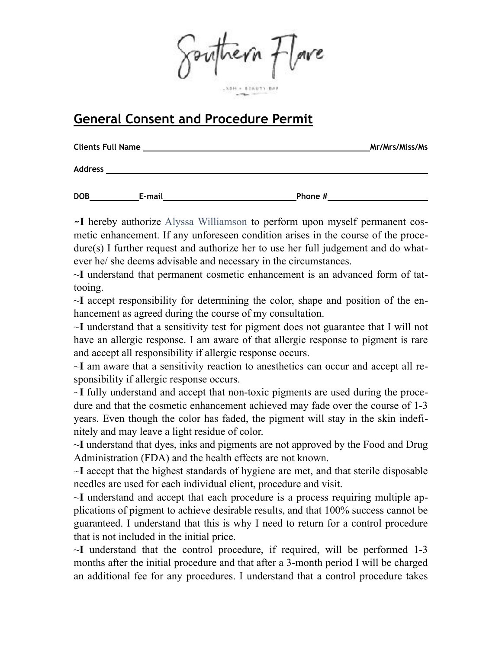Southern flowe

#### ABH = 8 CAUTY BA

# **General Consent and Procedure Permit**

| <b>Clients Full Name</b> |        | Mr/Mrs/Miss/Ms |  |
|--------------------------|--------|----------------|--|
| <b>Address</b>           |        |                |  |
| <b>DOB</b>               | E-mail | Phone #        |  |

**~I** hereby authorize Alyssa Williamson to perform upon myself permanent cosmetic enhancement. If any unforeseen condition arises in the course of the procedure(s) I further request and authorize her to use her full judgement and do whatever he/ she deems advisable and necessary in the circumstances.

~**I** understand that permanent cosmetic enhancement is an advanced form of tattooing.

~**I** accept responsibility for determining the color, shape and position of the enhancement as agreed during the course of my consultation.

~**I** understand that a sensitivity test for pigment does not guarantee that I will not have an allergic response. I am aware of that allergic response to pigment is rare and accept all responsibility if allergic response occurs.

~**I** am aware that a sensitivity reaction to anesthetics can occur and accept all responsibility if allergic response occurs.

~**I** fully understand and accept that non-toxic pigments are used during the procedure and that the cosmetic enhancement achieved may fade over the course of 1-3 years. Even though the color has faded, the pigment will stay in the skin indefinitely and may leave a light residue of color.

~**I** understand that dyes, inks and pigments are not approved by the Food and Drug Administration (FDA) and the health effects are not known.

~**I** accept that the highest standards of hygiene are met, and that sterile disposable needles are used for each individual client, procedure and visit.

~**I** understand and accept that each procedure is a process requiring multiple applications of pigment to achieve desirable results, and that 100% success cannot be guaranteed. I understand that this is why I need to return for a control procedure that is not included in the initial price.

~**I** understand that the control procedure, if required, will be performed 1-3 months after the initial procedure and that after a 3-month period I will be charged an additional fee for any procedures. I understand that a control procedure takes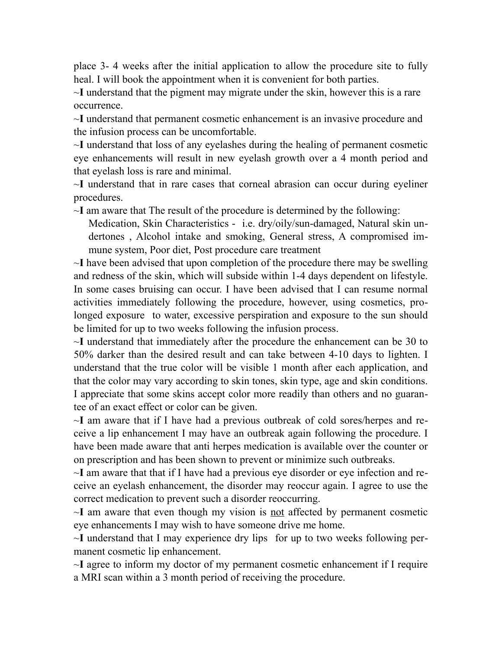place 3- 4 weeks after the initial application to allow the procedure site to fully heal. I will book the appointment when it is convenient for both parties.

~**I** understand that the pigment may migrate under the skin, however this is a rare occurrence.

~**I** understand that permanent cosmetic enhancement is an invasive procedure and the infusion process can be uncomfortable.

~**I** understand that loss of any eyelashes during the healing of permanent cosmetic eye enhancements will result in new eyelash growth over a 4 month period and that eyelash loss is rare and minimal.

~**I** understand that in rare cases that corneal abrasion can occur during eyeliner procedures.

~**I** am aware that The result of the procedure is determined by the following:

Medication, Skin Characteristics - i.e. dry/oily/sun-damaged, Natural skin undertones , Alcohol intake and smoking, General stress, A compromised immune system, Poor diet, Post procedure care treatment

~**I** have been advised that upon completion of the procedure there may be swelling and redness of the skin, which will subside within 1-4 days dependent on lifestyle. In some cases bruising can occur. I have been advised that I can resume normal activities immediately following the procedure, however, using cosmetics, prolonged exposure to water, excessive perspiration and exposure to the sun should be limited for up to two weeks following the infusion process.

~**I** understand that immediately after the procedure the enhancement can be 30 to 50% darker than the desired result and can take between 4-10 days to lighten. I understand that the true color will be visible 1 month after each application, and that the color may vary according to skin tones, skin type, age and skin conditions. I appreciate that some skins accept color more readily than others and no guarantee of an exact effect or color can be given.

~**I** am aware that if I have had a previous outbreak of cold sores/herpes and receive a lip enhancement I may have an outbreak again following the procedure. I have been made aware that anti herpes medication is available over the counter or on prescription and has been shown to prevent or minimize such outbreaks.

~**I** am aware that that if I have had a previous eye disorder or eye infection and receive an eyelash enhancement, the disorder may reoccur again. I agree to use the correct medication to prevent such a disorder reoccurring.

~**I** am aware that even though my vision is not affected by permanent cosmetic eye enhancements I may wish to have someone drive me home.

~**I** understand that I may experience dry lips for up to two weeks following permanent cosmetic lip enhancement.

~**I** agree to inform my doctor of my permanent cosmetic enhancement if I require a MRI scan within a 3 month period of receiving the procedure.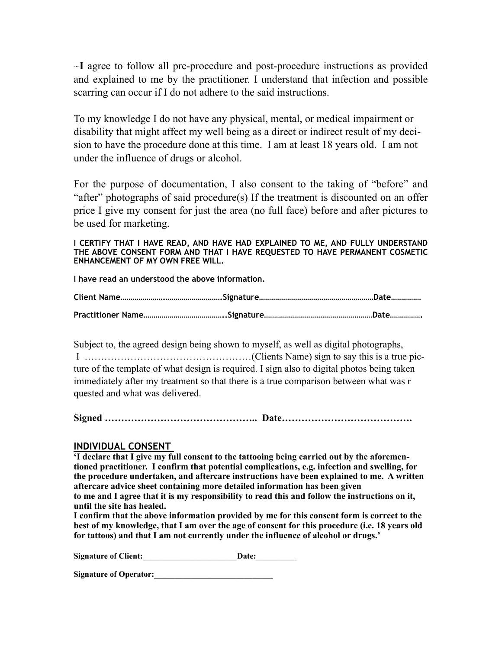~**I** agree to follow all pre-procedure and post-procedure instructions as provided and explained to me by the practitioner. I understand that infection and possible scarring can occur if I do not adhere to the said instructions.

To my knowledge I do not have any physical, mental, or medical impairment or disability that might affect my well being as a direct or indirect result of my decision to have the procedure done at this time. I am at least 18 years old. I am not under the influence of drugs or alcohol.

For the purpose of documentation, I also consent to the taking of "before" and "after" photographs of said procedure(s) If the treatment is discounted on an offer price I give my consent for just the area (no full face) before and after pictures to be used for marketing.

#### **I CERTIFY THAT I HAVE READ, AND HAVE HAD EXPLAINED TO ME, AND FULLY UNDERSTAND THE ABOVE CONSENT FORM AND THAT I HAVE REQUESTED TO HAVE PERMANENT COSMETIC ENHANCEMENT OF MY OWN FREE WILL.**

**I have read an understood the above information.**

Subject to, the agreed design being shown to myself, as well as digital photographs, I ……………………………………………(Clients Name) sign to say this is a true picture of the template of what design is required. I sign also to digital photos being taken immediately after my treatment so that there is a true comparison between what was r quested and what was delivered.

**Signed ……………………………………….. Date………………………………….**

### **INDIVIDUAL CONSENT**

**'I declare that I give my full consent to the tattooing being carried out by the aforementioned practitioner. I confirm that potential complications, e.g. infection and swelling, for the procedure undertaken, and aftercare instructions have been explained to me. A written aftercare advice sheet containing more detailed information has been given to me and I agree that it is my responsibility to read this and follow the instructions on it, until the site has healed.** 

**I confirm that the above information provided by me for this consent form is correct to the best of my knowledge, that I am over the age of consent for this procedure (i.e. 18 years old for tattoos) and that I am not currently under the influence of alcohol or drugs.'** 

Signature of Client: Date:

**Signature of Operator:\_\_\_\_\_\_\_\_\_\_\_\_\_\_\_\_\_\_\_\_\_\_\_\_\_\_\_\_\_**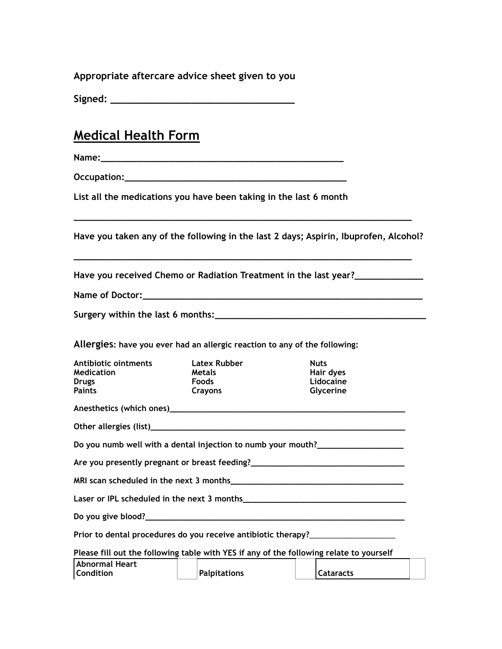**Appropriate aftercare advice sheet given to you**

**Signed: \_\_\_\_\_\_\_\_\_\_\_\_\_\_\_\_\_\_\_\_\_\_\_\_\_\_\_\_\_\_\_\_**

## **Medical Health Form**

**Name:\_\_\_\_\_\_\_\_\_\_\_\_\_\_\_\_\_\_\_\_\_\_\_\_\_\_\_\_\_\_\_\_\_\_\_\_\_\_\_\_\_\_\_\_\_\_** 

**Occupation: Occupation:** 

**List all the medications you have been taking in the last 6 month**

**Have you taken any of the following in the last 2 days; Aspirin, Ibuprofen, Alcohol?** 

**\_\_\_\_\_\_\_\_\_\_\_\_\_\_\_\_\_\_\_\_\_\_\_\_\_\_\_\_\_\_\_\_\_\_\_\_\_\_\_\_\_\_\_\_\_\_\_\_\_\_\_\_\_\_\_\_\_\_\_\_\_\_\_\_**

**\_\_\_\_\_\_\_\_\_\_\_\_\_\_\_\_\_\_\_\_\_\_\_\_\_\_\_\_\_\_\_\_\_\_\_\_\_\_\_\_\_\_\_\_\_\_\_\_\_\_\_\_\_\_\_\_\_\_\_\_\_\_\_\_**

**Have you received Chemo or Radiation Treatment in the last year?\_\_\_\_\_\_\_\_\_\_\_\_\_**

**Name of Doctor:** 

**Surgery within the last 6 months:\_\_\_\_\_\_\_\_\_\_\_\_\_\_\_\_\_\_\_\_\_\_\_\_\_\_\_\_\_\_\_\_\_\_\_\_\_\_\_\_**

**Allergies: have you ever had an allergic reaction to any of the following:**

| Antibiotic ointments<br>Medication                                               | <b>Latex Rubber</b><br><b>Metals</b> | <b>Nuts</b><br>Hair dyes |  |  |
|----------------------------------------------------------------------------------|--------------------------------------|--------------------------|--|--|
| <b>Drugs</b>                                                                     | Foods                                | Lidocaine                |  |  |
| <b>Paints</b>                                                                    | Crayons                              | Glycerine                |  |  |
|                                                                                  |                                      |                          |  |  |
|                                                                                  |                                      |                          |  |  |
| Do you numb well with a dental injection to numb your mouth?____________________ |                                      |                          |  |  |
| Are you presently pregnant or breast feeding?___________________________________ |                                      |                          |  |  |
|                                                                                  |                                      |                          |  |  |
|                                                                                  |                                      |                          |  |  |
|                                                                                  |                                      |                          |  |  |

**Do you give blood?\_\_\_\_\_\_\_\_\_\_\_\_\_\_\_\_\_\_\_\_\_\_\_\_\_\_\_\_\_\_\_\_\_\_\_\_\_\_\_\_\_\_\_\_\_\_\_\_\_\_\_\_\_\_**

**Prior to dental procedures do you receive antibiotic therapy?**\_\_\_\_\_\_\_\_\_\_\_\_\_\_\_\_\_\_\_\_

**Please fill out the following table with YES if any of the following relate to yourself**

| Abnormal Heart   |              |             |  |
|------------------|--------------|-------------|--|
| <b>Condition</b> | Palpitations | l Cataracts |  |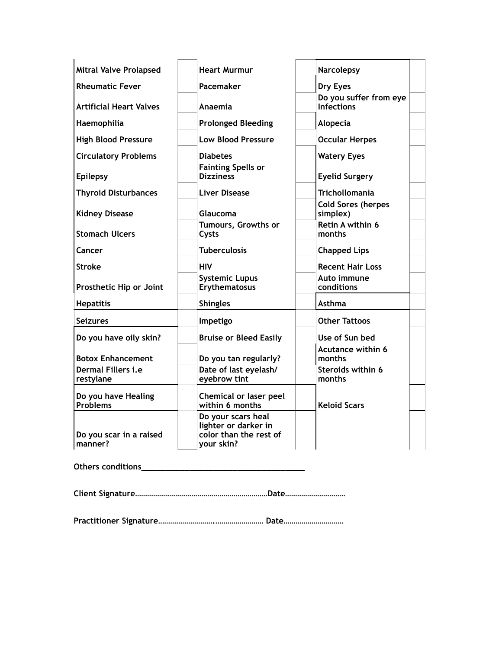| <b>Mitral Valve Prolapsed</b>                                      | <b>Heart Murmur</b>                                                                | <b>Narcolepsy</b>                                                 |
|--------------------------------------------------------------------|------------------------------------------------------------------------------------|-------------------------------------------------------------------|
| <b>Rheumatic Fever</b>                                             | Pacemaker                                                                          | Dry Eyes                                                          |
| Artificial Heart Valves                                            | Anaemia                                                                            | Do you suffer from eye<br><b>Infections</b>                       |
| Haemophilia                                                        | <b>Prolonged Bleeding</b>                                                          | Alopecia                                                          |
| <b>High Blood Pressure</b>                                         | <b>Low Blood Pressure</b>                                                          | <b>Occular Herpes</b>                                             |
| <b>Circulatory Problems</b>                                        | <b>Diabetes</b>                                                                    | <b>Watery Eyes</b>                                                |
| <b>Epilepsy</b>                                                    | <b>Fainting Spells or</b><br><b>Dizziness</b>                                      | <b>Eyelid Surgery</b>                                             |
| <b>Thyroid Disturbances</b>                                        | Liver Disease                                                                      | <b>Trichollomania</b>                                             |
| <b>Kidney Disease</b>                                              | Glaucoma                                                                           | <b>Cold Sores (herpes</b><br>simplex)                             |
| <b>Stomach Ulcers</b>                                              | Tumours, Growths or<br>Cysts                                                       | Retin A within 6<br>months                                        |
| Cancer                                                             | <b>Tuberculosis</b>                                                                | <b>Chapped Lips</b>                                               |
| Stroke                                                             | <b>HIV</b>                                                                         | <b>Recent Hair Loss</b>                                           |
| Prosthetic Hip or Joint                                            | <b>Systemic Lupus</b><br>Erythematosus                                             | Auto immune<br>conditions                                         |
| <b>Hepatitis</b>                                                   | <b>Shingles</b>                                                                    | <b>Asthma</b>                                                     |
| <b>Seizures</b>                                                    | Impetigo                                                                           | <b>Other Tattoos</b>                                              |
| Do you have oily skin?                                             | <b>Bruise or Bleed Easily</b>                                                      | Use of Sun bed                                                    |
| <b>Botox Enhancement</b><br><b>Dermal Fillers i.e</b><br>restylane | Do you tan regularly?<br>Date of last eyelash/<br>eyebrow tint                     | <b>Acutance within 6</b><br>months<br>Steroids within 6<br>months |
| Do you have Healing<br><b>Problems</b>                             | Chemical or laser peel<br>within 6 months                                          | <b>Keloid Scars</b>                                               |
| Do you scar in a raised<br>manner?                                 | Do your scars heal<br>lighter or darker in<br>color than the rest of<br>your skin? |                                                                   |

**Others conditions\_\_\_\_\_\_\_\_\_\_\_\_\_\_\_\_\_\_\_\_\_\_\_\_\_\_\_\_\_\_\_\_\_\_**

**Client Signature…………………………………………………………Date…………………………** 

**Practitioner Signature……………………….…………………… Date…………………………**